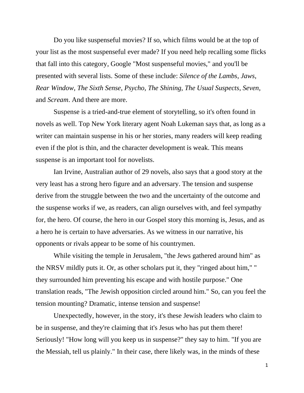Do you like suspenseful movies? If so, which films would be at the top of your list as the most suspenseful ever made? If you need help recalling some flicks that fall into this category, Google "Most suspenseful movies," and you'll be presented with several lists. Some of these include: *Silence of the Lambs*, *Jaws*, *Rear Window*, *The Sixth Sense*, *Psycho*, *The Shining*, *The Usual Suspects*, *Seven*, and *Scream*. And there are more.

Suspense is a tried-and-true element of storytelling, so it's often found in novels as well. Top New York literary agent Noah Lukeman says that, as long as a writer can maintain suspense in his or her stories, many readers will keep reading even if the plot is thin, and the character development is weak. This means suspense is an important tool for novelists.

Ian Irvine, Australian author of 29 novels, also says that a good story at the very least has a strong hero figure and an adversary. The tension and suspense derive from the struggle between the two and the uncertainty of the outcome and the suspense works if we, as readers, can align ourselves with, and feel sympathy for, the hero. Of course, the hero in our Gospel story this morning is, Jesus, and as a hero he is certain to have adversaries. As we witness in our narrative, his opponents or rivals appear to be some of his countrymen.

While visiting the temple in Jerusalem, "the Jews gathered around him" as the NRSV mildly puts it. Or, as other scholars put it, they "ringed about him," " they surrounded him preventing his escape and with hostile purpose." One translation reads, "The Jewish opposition circled around him." So, can you feel the tension mounting? Dramatic, intense tension and suspense!

Unexpectedly, however, in the story, it's these Jewish leaders who claim to be in suspense, and they're claiming that it's Jesus who has put them there! Seriously! "How long will you keep us in suspense?" they say to him. "If you are the Messiah, tell us plainly." In their case, there likely was, in the minds of these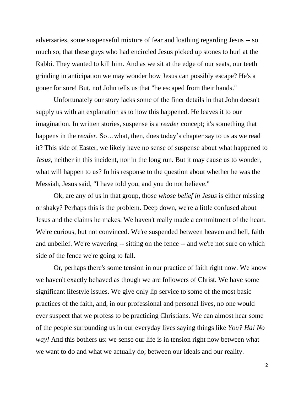adversaries, some suspenseful mixture of fear and loathing regarding Jesus -- so much so, that these guys who had encircled Jesus picked up stones to hurl at the Rabbi. They wanted to kill him. And as we sit at the edge of our seats, our teeth grinding in anticipation we may wonder how Jesus can possibly escape? He's a goner for sure! But, no! John tells us that "he escaped from their hands."

Unfortunately our story lacks some of the finer details in that John doesn't supply us with an explanation as to how this happened. He leaves it to our imagination. In written stories, suspense is a *reader* concept; it's something that happens in the *reader*. So...what, then, does today's chapter say to us as we read it? This side of Easter, we likely have no sense of suspense about what happened to *Jesus*, neither in this incident, nor in the long run. But it may cause us to wonder, what will happen to us? In his response to the question about whether he was the Messiah, Jesus said, "I have told you, and you do not believe."

Ok, are any of us in that group, those *whose belief in Jesus* is either missing or shaky? Perhaps this is the problem. Deep down, we're a little confused about Jesus and the claims he makes. We haven't really made a commitment of the heart. We're curious, but not convinced. We're suspended between heaven and hell, faith and unbelief. We're wavering -- sitting on the fence -- and we're not sure on which side of the fence we're going to fall.

Or, perhaps there's some tension in our practice of faith right now*.* We know we haven't exactly behaved as though we are followers of Christ. We have some significant lifestyle issues. We give only lip service to some of the most basic practices of the faith, and, in our professional and personal lives, no one would ever suspect that we profess to be practicing Christians. We can almost hear some of the people surrounding us in our everyday lives saying things like *You? Ha! No way!* And this bothers us: we sense our life is in tension right now between what we want to do and what we actually do; between our ideals and our reality.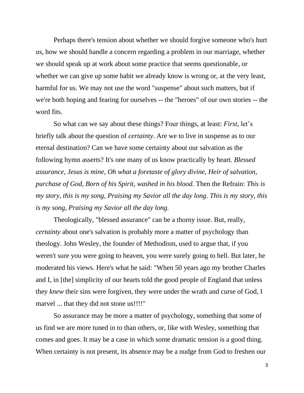Perhaps there's tension about whether we should forgive someone who's hurt us, how we should handle a concern regarding a problem in our marriage, whether we should speak up at work about some practice that seems questionable, or whether we can give up some habit we already know is wrong or, at the very least, harmful for us. We may not use the word "suspense" about such matters, but if we're both hoping and fearing for ourselves -- the "heroes" of our own stories -- the word fits.

So what can we say about these things? Four things, at least: *First,* let's briefly talk about the question of *certainty.* Are we to live in suspense as to our eternal destination? Can we have some certainty about our salvation as the following hymn asserts? It's one many of us know practically by heart. *Blessed assurance, Jesus is mine, Oh what a foretaste of glory divine, Heir of salvation, purchase of God, Born of his Spirit, washed in his blood.* Then the Refrain: *This is my story, this is my song, Praising my Savior all the day long*. *This is my story, this is my song, Praising my Savior all the day long.*

Theologically, "blessed assurance" can be a thorny issue. But, really, *certainty* about one's salvation is probably more a matter of psychology than theology. John Wesley, the founder of Methodism, used to argue that, if you weren't sure you were going to heaven, you were surely going to hell. But later, he moderated his views. Here's what he said: "When 50 years ago my brother Charles and I, in [the] simplicity of our hearts told the good people of England that unless they *knew* their sins were forgiven, they were under the wrath and curse of God, I marvel ... that they did not stone us!!!!"

So assurance may be more a matter of psychology, something that some of us find we are more tuned in to than others, or, like with Wesley, something that comes and goes. It may be a case in which some dramatic tension is a good thing. When certainty is not present, its absence may be a nudge from God to freshen our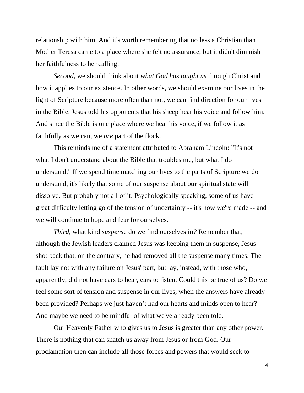relationship with him. And it's worth remembering that no less a Christian than Mother Teresa came to a place where she felt no assurance, but it didn't diminish her faithfulness to her calling.

*Second*, we should think about *what God has taught us* through Christ and how it applies to our existence*.* In other words, we should examine our lives in the light of Scripture because more often than not, we can find direction for our lives in the Bible. Jesus told his opponents that his sheep hear his voice and follow him. And since the Bible is one place where we hear his voice, if we follow it as faithfully as we can, we *are* part of the flock.

This reminds me of a statement attributed to Abraham Lincoln: "It's not what I don't understand about the Bible that troubles me, but what I do understand." If we spend time matching our lives to the parts of Scripture we do understand, it's likely that some of our suspense about our spiritual state will dissolve. But probably not all of it. Psychologically speaking, some of us have great difficulty letting go of the tension of uncertainty -- it's how we're made -- and we will continue to hope and fear for ourselves.

*Third,* what kind *suspens*e do we find ourselves in*?* Remember that, although the Jewish leaders claimed Jesus was keeping them in suspense, Jesus shot back that, on the contrary, he had removed all the suspense many times. The fault lay not with any failure on Jesus' part, but lay, instead, with those who, apparently, did not have ears to hear, ears to listen. Could this be true of us? Do we feel some sort of tension and suspense in our lives, when the answers have already been provided? Perhaps we just haven't had our hearts and minds open to hear? And maybe we need to be mindful of what we've already been told.

Our Heavenly Father who gives us to Jesus is greater than any other power. There is nothing that can snatch us away from Jesus or from God. Our proclamation then can include all those forces and powers that would seek to